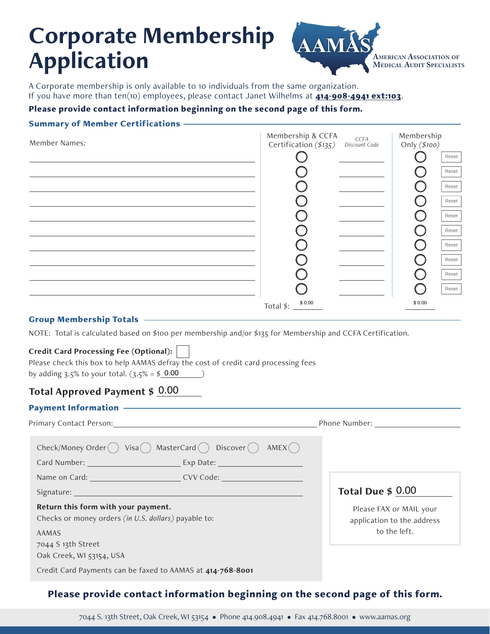# **Corporate Membership Application**<br>Application



**Medical Audit Specialists**

A Corporate membership is only available to 10 individuals from the same organization. If you have more than ten(10) employees, please contact Janet Wilhelms at 414-908-4941 ext:103.

### Please provide contact information beginning on the second page of this form.

### Summary of Member Certifications

| Member Names:                                                                                   |                                                                                                                                                                                                                               | Membership & CCFA<br>Certification (\$135) | CCFA<br>Discount Code | Membership<br>Only $($100)$ |       |
|-------------------------------------------------------------------------------------------------|-------------------------------------------------------------------------------------------------------------------------------------------------------------------------------------------------------------------------------|--------------------------------------------|-----------------------|-----------------------------|-------|
|                                                                                                 |                                                                                                                                                                                                                               | ()                                         |                       |                             | Reset |
|                                                                                                 |                                                                                                                                                                                                                               |                                            |                       |                             | Reset |
|                                                                                                 |                                                                                                                                                                                                                               |                                            |                       |                             | Reset |
|                                                                                                 |                                                                                                                                                                                                                               |                                            |                       |                             | Reset |
|                                                                                                 |                                                                                                                                                                                                                               | $\bigcirc$                                 |                       |                             | Reset |
|                                                                                                 |                                                                                                                                                                                                                               |                                            |                       |                             | Reset |
|                                                                                                 | the control of the control of the control of the control of the control of the control of the control of the control of the control of the control of the control of the control of the control of the control of the control | $\bigcirc$                                 |                       |                             | Reset |
|                                                                                                 | <u> 1989 - Johann Stoff, deutscher Stoff, der Stoff, der Stoff, der Stoff, der Stoff, der Stoff, der Stoff, der S</u>                                                                                                         |                                            |                       |                             | Reset |
|                                                                                                 |                                                                                                                                                                                                                               |                                            |                       |                             | Reset |
|                                                                                                 |                                                                                                                                                                                                                               |                                            |                       |                             | Reset |
|                                                                                                 |                                                                                                                                                                                                                               |                                            |                       |                             |       |
|                                                                                                 |                                                                                                                                                                                                                               | Total $\frac{$0.00}{.}$                    |                       | \$0.00                      |       |
|                                                                                                 | Group Membership Totals - The Commission of the Commission of the Commission of the Commission of the Commission                                                                                                              |                                            |                       |                             |       |
|                                                                                                 | NOTE: Total is calculated based on \$100 per membership and/or \$135 for Membership and CCFA Certification.                                                                                                                   |                                            |                       |                             |       |
| <b>Credit Card Processing Fee (Optional):</b><br>by adding 3.5% to your total. $(3.5\% = $0.00$ | Please check this box to help AAMAS defray the cost of credit card processing fees                                                                                                                                            |                                            |                       |                             |       |
| Total Approved Payment \$ 0.00                                                                  |                                                                                                                                                                                                                               |                                            |                       |                             |       |
|                                                                                                 |                                                                                                                                                                                                                               |                                            |                       |                             |       |
|                                                                                                 |                                                                                                                                                                                                                               |                                            |                       |                             |       |
|                                                                                                 | $Check/Money Order() Visa() MasterCard() Discover() AMEX()$                                                                                                                                                                   |                                            |                       |                             |       |
|                                                                                                 |                                                                                                                                                                                                                               |                                            |                       |                             |       |
|                                                                                                 | Name on Card: ________________________________CVV Code: ________________________                                                                                                                                              |                                            |                       |                             |       |
| Signature:                                                                                      |                                                                                                                                                                                                                               |                                            | Total Due $$0.00$     |                             |       |

#### Group Membership Totals

### **Credit Card Processing Fee (Optional):**

### **Total Approved Payment \$**  0.00

### Payment Information

| $Check/Money Order() Visa() MasterCard() Discover() AMEX()$ |           |  |
|-------------------------------------------------------------|-----------|--|
| Card Number:                                                | Exp Date: |  |

Signature:

#### **Return this form with your payment.**

Checks or money orders *(in U.S. dollars)* payable to:

AAMAS

7044 S 13th Street

Oak Creek, WI 53154, USA

Credit Card Payments can be faxed to AAMAS at **414-768-8001**

## **Total Due \$**

Please FAX or MAIL your application to the address to the left.

### Please provide contact information beginning on the second page of this form.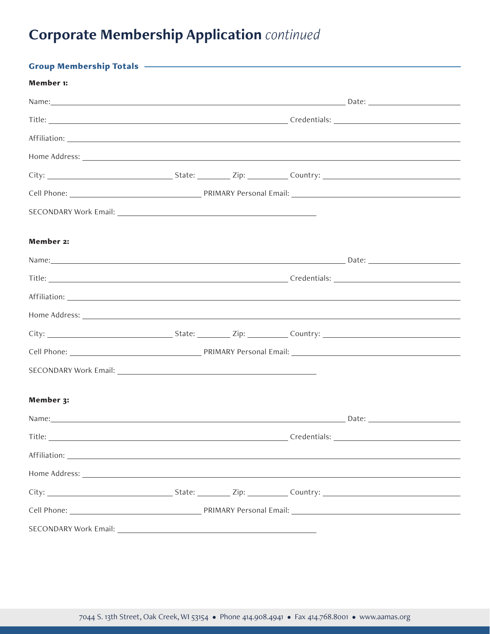| Group Membership Totals ———————————————————————————————————                                                                                                                                                                    |  |       |  |
|--------------------------------------------------------------------------------------------------------------------------------------------------------------------------------------------------------------------------------|--|-------|--|
| Member 1:                                                                                                                                                                                                                      |  |       |  |
| Name: Date: Demonstration of the Contract of the Contract of the Contract of the Contract of the Contract of the Contract of the Contract of the Contract of the Contract of the Contract of the Contract of the Contract of t |  |       |  |
|                                                                                                                                                                                                                                |  |       |  |
|                                                                                                                                                                                                                                |  |       |  |
|                                                                                                                                                                                                                                |  |       |  |
|                                                                                                                                                                                                                                |  |       |  |
|                                                                                                                                                                                                                                |  |       |  |
|                                                                                                                                                                                                                                |  |       |  |
| <b>Member 2:</b>                                                                                                                                                                                                               |  |       |  |
|                                                                                                                                                                                                                                |  |       |  |
|                                                                                                                                                                                                                                |  |       |  |
|                                                                                                                                                                                                                                |  |       |  |
|                                                                                                                                                                                                                                |  |       |  |
|                                                                                                                                                                                                                                |  |       |  |
|                                                                                                                                                                                                                                |  |       |  |
|                                                                                                                                                                                                                                |  |       |  |
| Member 3:                                                                                                                                                                                                                      |  |       |  |
| Name:                                                                                                                                                                                                                          |  | Date: |  |
|                                                                                                                                                                                                                                |  |       |  |
|                                                                                                                                                                                                                                |  |       |  |
|                                                                                                                                                                                                                                |  |       |  |
|                                                                                                                                                                                                                                |  |       |  |
|                                                                                                                                                                                                                                |  |       |  |
|                                                                                                                                                                                                                                |  |       |  |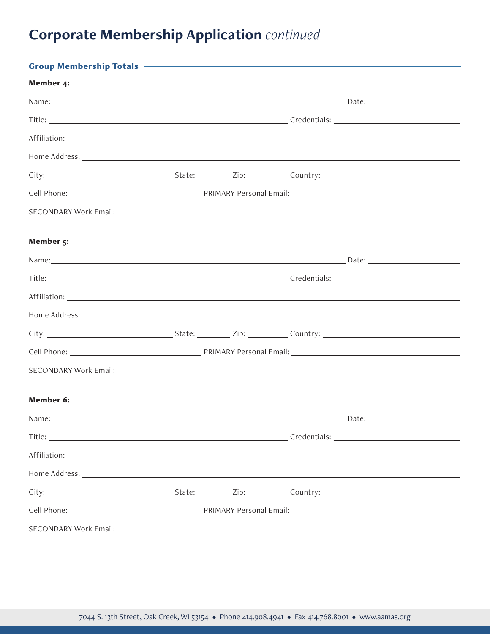| Member 4:                                                                                                                                                                                                                      |  |       |  |
|--------------------------------------------------------------------------------------------------------------------------------------------------------------------------------------------------------------------------------|--|-------|--|
| Name: Date: 2008. [2016] Date: 2016. [2016] Date: 2016. [2016] Date: 2016. [2016] Date: 2016. [2016] Date: 2016. [2016] Date: 2016. [2016] Date: 2016. [2016] Date: 2016. [2016] Date: 2016. [2016] Date: 2016. [2016] Date: 2 |  |       |  |
|                                                                                                                                                                                                                                |  |       |  |
|                                                                                                                                                                                                                                |  |       |  |
|                                                                                                                                                                                                                                |  |       |  |
|                                                                                                                                                                                                                                |  |       |  |
|                                                                                                                                                                                                                                |  |       |  |
|                                                                                                                                                                                                                                |  |       |  |
| Member <sub>5</sub> :                                                                                                                                                                                                          |  |       |  |
| Name: Date: Date: Date: Date: Date: Date: Date: Date: Date: Date: Date: Date: Date: Date: Date: Date: Date: Date: Date: Date: Date: Date: Date: Date: Date: Date: Date: Date: Date: Date: Date: Date: Date: Date: Date: Date:  |  |       |  |
|                                                                                                                                                                                                                                |  |       |  |
|                                                                                                                                                                                                                                |  |       |  |
|                                                                                                                                                                                                                                |  |       |  |
|                                                                                                                                                                                                                                |  |       |  |
|                                                                                                                                                                                                                                |  |       |  |
|                                                                                                                                                                                                                                |  |       |  |
| <b>Member 6:</b>                                                                                                                                                                                                               |  |       |  |
| Name:                                                                                                                                                                                                                          |  | Date: |  |
|                                                                                                                                                                                                                                |  |       |  |
|                                                                                                                                                                                                                                |  |       |  |
|                                                                                                                                                                                                                                |  |       |  |
|                                                                                                                                                                                                                                |  |       |  |
|                                                                                                                                                                                                                                |  |       |  |
|                                                                                                                                                                                                                                |  |       |  |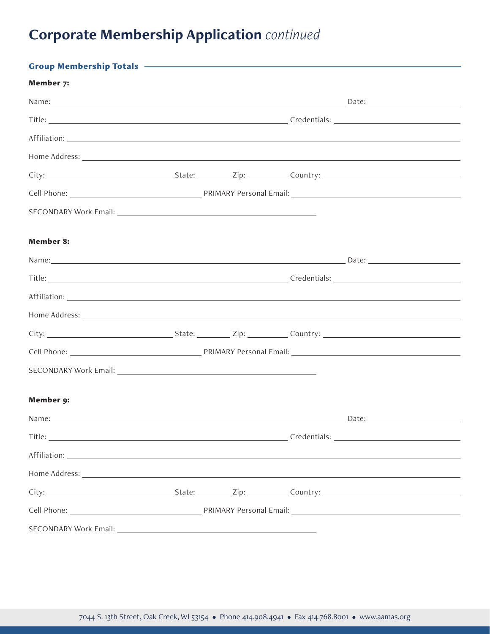| Member 7:                                                                                                                                                                                                                      |  |       |  |
|--------------------------------------------------------------------------------------------------------------------------------------------------------------------------------------------------------------------------------|--|-------|--|
| Name: Date: 2008. [2016] Date: 2016. [2016] Date: 2016. [2016] Date: 2016. [2016] Date: 2016. [2016] Date: 2016. [2016] Date: 2016. [2016] Date: 2016. [2016] Date: 2016. [2016] Date: 2016. [2016] Date: 2016. [2016] Date: 2 |  |       |  |
|                                                                                                                                                                                                                                |  |       |  |
|                                                                                                                                                                                                                                |  |       |  |
|                                                                                                                                                                                                                                |  |       |  |
|                                                                                                                                                                                                                                |  |       |  |
|                                                                                                                                                                                                                                |  |       |  |
|                                                                                                                                                                                                                                |  |       |  |
| <b>Member 8:</b>                                                                                                                                                                                                               |  |       |  |
|                                                                                                                                                                                                                                |  |       |  |
|                                                                                                                                                                                                                                |  |       |  |
|                                                                                                                                                                                                                                |  |       |  |
|                                                                                                                                                                                                                                |  |       |  |
|                                                                                                                                                                                                                                |  |       |  |
|                                                                                                                                                                                                                                |  |       |  |
|                                                                                                                                                                                                                                |  |       |  |
| <b>Member 9:</b>                                                                                                                                                                                                               |  |       |  |
| Name:                                                                                                                                                                                                                          |  | Date: |  |
|                                                                                                                                                                                                                                |  |       |  |
|                                                                                                                                                                                                                                |  |       |  |
|                                                                                                                                                                                                                                |  |       |  |
|                                                                                                                                                                                                                                |  |       |  |
|                                                                                                                                                                                                                                |  |       |  |
|                                                                                                                                                                                                                                |  |       |  |